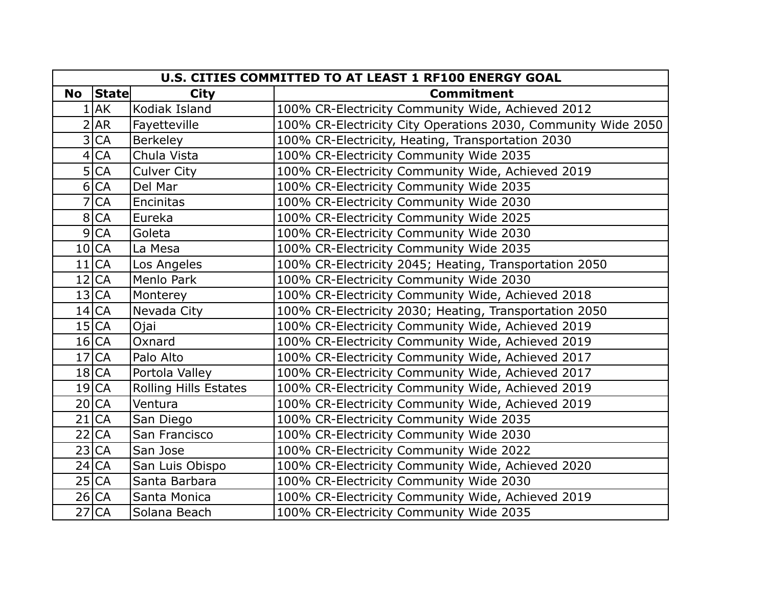|           | U.S. CITIES COMMITTED TO AT LEAST 1 RF100 ENERGY GOAL |                              |                                                               |  |
|-----------|-------------------------------------------------------|------------------------------|---------------------------------------------------------------|--|
| <b>No</b> | $ \mathsf{State} $                                    | City                         | <b>Commitment</b>                                             |  |
|           | 1 AK                                                  | Kodiak Island                | 100% CR-Electricity Community Wide, Achieved 2012             |  |
|           | 2 AR                                                  | Fayetteville                 | 100% CR-Electricity City Operations 2030, Community Wide 2050 |  |
|           | 3 CA                                                  | <b>Berkeley</b>              | 100% CR-Electricity, Heating, Transportation 2030             |  |
|           | 4 CA                                                  | Chula Vista                  | 100% CR-Electricity Community Wide 2035                       |  |
|           | 5 CA                                                  | <b>Culver City</b>           | 100% CR-Electricity Community Wide, Achieved 2019             |  |
|           | 6 CA                                                  | Del Mar                      | 100% CR-Electricity Community Wide 2035                       |  |
|           | 7 CA                                                  | Encinitas                    | 100% CR-Electricity Community Wide 2030                       |  |
|           | 8 CA                                                  | Eureka                       | 100% CR-Electricity Community Wide 2025                       |  |
|           | 9 CA                                                  | Goleta                       | 100% CR-Electricity Community Wide 2030                       |  |
|           | 10 CA                                                 | La Mesa                      | 100% CR-Electricity Community Wide 2035                       |  |
|           | 11 CA                                                 | Los Angeles                  | 100% CR-Electricity 2045; Heating, Transportation 2050        |  |
|           | 12 CA                                                 | Menlo Park                   | 100% CR-Electricity Community Wide 2030                       |  |
|           | 13 CA                                                 | Monterey                     | 100% CR-Electricity Community Wide, Achieved 2018             |  |
|           | 14 CA                                                 | Nevada City                  | 100% CR-Electricity 2030; Heating, Transportation 2050        |  |
|           | 15 CA                                                 | Ojai                         | 100% CR-Electricity Community Wide, Achieved 2019             |  |
|           | 16 CA                                                 | Oxnard                       | 100% CR-Electricity Community Wide, Achieved 2019             |  |
|           | 17 CA                                                 | Palo Alto                    | 100% CR-Electricity Community Wide, Achieved 2017             |  |
|           | 18 CA                                                 | Portola Valley               | 100% CR-Electricity Community Wide, Achieved 2017             |  |
|           | 19 CA                                                 | <b>Rolling Hills Estates</b> | 100% CR-Electricity Community Wide, Achieved 2019             |  |
|           | 20 CA                                                 | Ventura                      | 100% CR-Electricity Community Wide, Achieved 2019             |  |
|           | 21 CA                                                 | San Diego                    | 100% CR-Electricity Community Wide 2035                       |  |
|           | 22 CA                                                 | San Francisco                | 100% CR-Electricity Community Wide 2030                       |  |
|           | 23 CA                                                 | San Jose                     | 100% CR-Electricity Community Wide 2022                       |  |
|           | 24 CA                                                 | San Luis Obispo              | 100% CR-Electricity Community Wide, Achieved 2020             |  |
|           | 25 CA                                                 | Santa Barbara                | 100% CR-Electricity Community Wide 2030                       |  |
|           | 26 CA                                                 | Santa Monica                 | 100% CR-Electricity Community Wide, Achieved 2019             |  |
|           | 27 CA                                                 | Solana Beach                 | 100% CR-Electricity Community Wide 2035                       |  |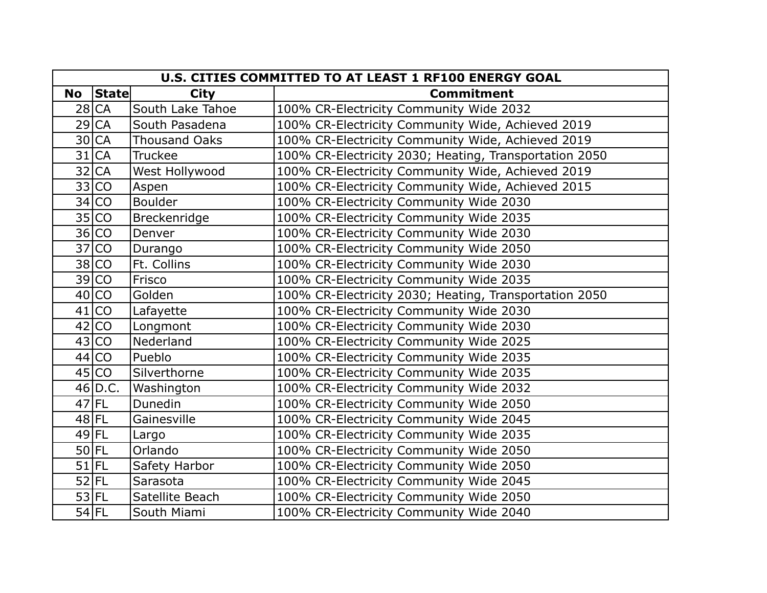|           | U.S. CITIES COMMITTED TO AT LEAST 1 RF100 ENERGY GOAL |                      |                                                        |  |
|-----------|-------------------------------------------------------|----------------------|--------------------------------------------------------|--|
| <b>No</b> | <b>State</b>                                          | City                 | <b>Commitment</b>                                      |  |
|           | 28 CA                                                 | South Lake Tahoe     | 100% CR-Electricity Community Wide 2032                |  |
|           | 29 CA                                                 | South Pasadena       | 100% CR-Electricity Community Wide, Achieved 2019      |  |
|           | 30 CA                                                 | <b>Thousand Oaks</b> | 100% CR-Electricity Community Wide, Achieved 2019      |  |
|           | 31 CA                                                 | <b>Truckee</b>       | 100% CR-Electricity 2030; Heating, Transportation 2050 |  |
|           | 32 CA                                                 | West Hollywood       | 100% CR-Electricity Community Wide, Achieved 2019      |  |
|           | 33 CO                                                 | Aspen                | 100% CR-Electricity Community Wide, Achieved 2015      |  |
|           | 34 CO                                                 | <b>Boulder</b>       | 100% CR-Electricity Community Wide 2030                |  |
|           | 35 CO                                                 | Breckenridge         | 100% CR-Electricity Community Wide 2035                |  |
|           | 36 CO                                                 | Denver               | 100% CR-Electricity Community Wide 2030                |  |
|           | 37 CO                                                 | Durango              | 100% CR-Electricity Community Wide 2050                |  |
|           | 38 CO                                                 | Ft. Collins          | 100% CR-Electricity Community Wide 2030                |  |
|           | 39 CO                                                 | Frisco               | 100% CR-Electricity Community Wide 2035                |  |
|           | 40 CO                                                 | Golden               | 100% CR-Electricity 2030; Heating, Transportation 2050 |  |
|           | 41 CO                                                 | Lafayette            | 100% CR-Electricity Community Wide 2030                |  |
|           | 42 CO                                                 | Longmont             | 100% CR-Electricity Community Wide 2030                |  |
|           | 43 CO                                                 | Nederland            | 100% CR-Electricity Community Wide 2025                |  |
|           | 44 CO                                                 | Pueblo               | 100% CR-Electricity Community Wide 2035                |  |
|           | 45 CO                                                 | Silverthorne         | 100% CR-Electricity Community Wide 2035                |  |
|           | $46$ D.C.                                             | Washington           | 100% CR-Electricity Community Wide 2032                |  |
|           | $47$ FL                                               | Dunedin              | 100% CR-Electricity Community Wide 2050                |  |
|           | $48$ FL                                               | Gainesville          | 100% CR-Electricity Community Wide 2045                |  |
|           | $49$ FL                                               | Largo                | 100% CR-Electricity Community Wide 2035                |  |
|           | $50$ FL                                               | Orlando              | 100% CR-Electricity Community Wide 2050                |  |
|           | $51$ FL                                               | Safety Harbor        | 100% CR-Electricity Community Wide 2050                |  |
|           | $52$ FL                                               | Sarasota             | 100% CR-Electricity Community Wide 2045                |  |
|           | $53$ FL                                               | Satellite Beach      | 100% CR-Electricity Community Wide 2050                |  |
|           | $54$ FL                                               | South Miami          | 100% CR-Electricity Community Wide 2040                |  |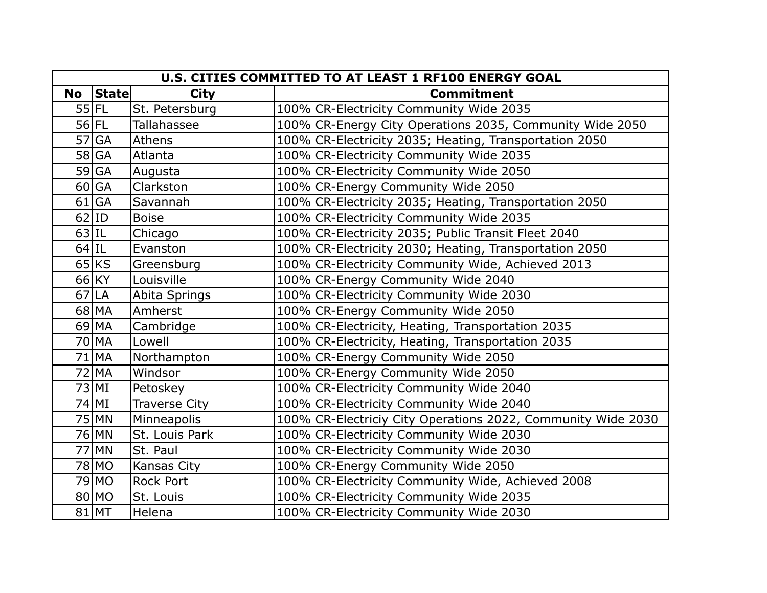|           | U.S. CITIES COMMITTED TO AT LEAST 1 RF100 ENERGY GOAL |                      |                                                              |  |
|-----------|-------------------------------------------------------|----------------------|--------------------------------------------------------------|--|
| <b>No</b> | <b>State</b>                                          | <b>City</b>          | <b>Commitment</b>                                            |  |
|           | $55$ FL                                               | St. Petersburg       | 100% CR-Electricity Community Wide 2035                      |  |
|           | $56$ FL                                               | <b>Tallahassee</b>   | 100% CR-Energy City Operations 2035, Community Wide 2050     |  |
|           | $57$ GA                                               | Athens               | 100% CR-Electricity 2035; Heating, Transportation 2050       |  |
|           | 58 GA                                                 | Atlanta              | 100% CR-Electricity Community Wide 2035                      |  |
|           | $59$ GA                                               | Augusta              | 100% CR-Electricity Community Wide 2050                      |  |
|           | 60 GA                                                 | Clarkston            | 100% CR-Energy Community Wide 2050                           |  |
|           | $61$ GA                                               | Savannah             | 100% CR-Electricity 2035; Heating, Transportation 2050       |  |
|           | $62$  ID                                              | <b>Boise</b>         | 100% CR-Electricity Community Wide 2035                      |  |
| $63$ IL   |                                                       | Chicago              | 100% CR-Electricity 2035; Public Transit Fleet 2040          |  |
| $64$ IL   |                                                       | Evanston             | 100% CR-Electricity 2030; Heating, Transportation 2050       |  |
|           | $65$ KS                                               | Greensburg           | 100% CR-Electricity Community Wide, Achieved 2013            |  |
|           | $66$ KY                                               | Louisville           | 100% CR-Energy Community Wide 2040                           |  |
|           | 67 LA                                                 | Abita Springs        | 100% CR-Electricity Community Wide 2030                      |  |
|           | $68$ MA                                               | Amherst              | 100% CR-Energy Community Wide 2050                           |  |
|           | $69$ MA                                               | Cambridge            | 100% CR-Electricity, Heating, Transportation 2035            |  |
|           | 70 MA                                                 | Lowell               | 100% CR-Electricity, Heating, Transportation 2035            |  |
|           | $71$ MA                                               | Northampton          | 100% CR-Energy Community Wide 2050                           |  |
|           | 72 MA                                                 | Windsor              | 100% CR-Energy Community Wide 2050                           |  |
|           | 73 MI                                                 | Petoskey             | 100% CR-Electricity Community Wide 2040                      |  |
|           | 74 MI                                                 | <b>Traverse City</b> | 100% CR-Electricity Community Wide 2040                      |  |
|           | 75 MN                                                 | Minneapolis          | 100% CR-Electriciy City Operations 2022, Community Wide 2030 |  |
|           | 76 MN                                                 | St. Louis Park       | 100% CR-Electricity Community Wide 2030                      |  |
|           | 77 MN                                                 | St. Paul             | 100% CR-Electricity Community Wide 2030                      |  |
|           | 78 MO                                                 | Kansas City          | 100% CR-Energy Community Wide 2050                           |  |
|           | 79 MO                                                 | <b>Rock Port</b>     | 100% CR-Electricity Community Wide, Achieved 2008            |  |
|           | $80$ MO                                               | St. Louis            | 100% CR-Electricity Community Wide 2035                      |  |
|           | $81$ MT                                               | Helena               | 100% CR-Electricity Community Wide 2030                      |  |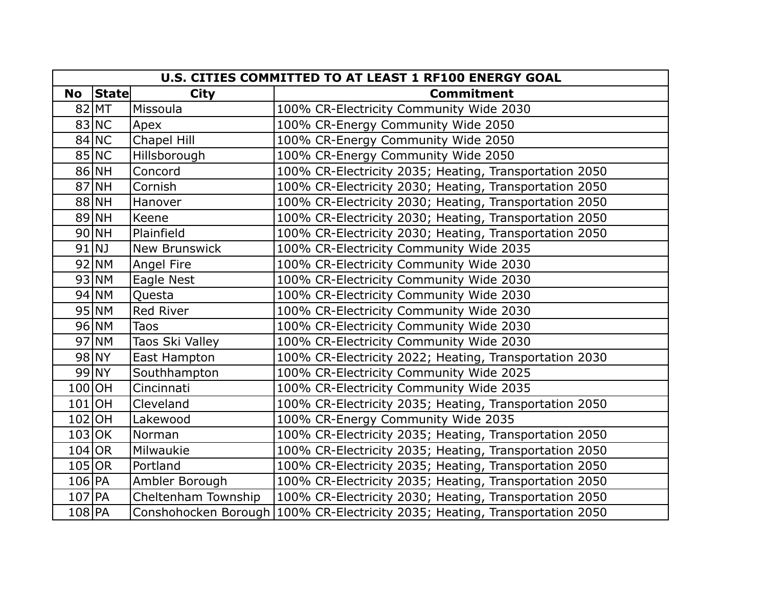|           | U.S. CITIES COMMITTED TO AT LEAST 1 RF100 ENERGY GOAL |                     |                                                                             |  |
|-----------|-------------------------------------------------------|---------------------|-----------------------------------------------------------------------------|--|
| <b>No</b> | <b>State</b>                                          | <b>City</b>         | <b>Commitment</b>                                                           |  |
|           | 82 MT                                                 | Missoula            | 100% CR-Electricity Community Wide 2030                                     |  |
|           | 83 NC                                                 | Apex                | 100% CR-Energy Community Wide 2050                                          |  |
|           | $84$ NC                                               | <b>Chapel Hill</b>  | 100% CR-Energy Community Wide 2050                                          |  |
|           | $85$ NC                                               | Hillsborough        | 100% CR-Energy Community Wide 2050                                          |  |
|           | $86$ NH                                               | Concord             | 100% CR-Electricity 2035; Heating, Transportation 2050                      |  |
|           | $87$ NH                                               | Cornish             | 100% CR-Electricity 2030; Heating, Transportation 2050                      |  |
|           | 88 NH                                                 | Hanover             | 100% CR-Electricity 2030; Heating, Transportation 2050                      |  |
|           | 89 NH                                                 | Keene               | 100% CR-Electricity 2030; Heating, Transportation 2050                      |  |
|           | $90$ NH                                               | Plainfield          | 100% CR-Electricity 2030; Heating, Transportation 2050                      |  |
|           | $91$ NJ                                               | New Brunswick       | 100% CR-Electricity Community Wide 2035                                     |  |
|           | $92$ NM                                               | Angel Fire          | 100% CR-Electricity Community Wide 2030                                     |  |
|           | $93$ NM                                               | Eagle Nest          | 100% CR-Electricity Community Wide 2030                                     |  |
|           | $94$ NM                                               | Questa              | 100% CR-Electricity Community Wide 2030                                     |  |
|           | $95$ NM                                               | Red River           | 100% CR-Electricity Community Wide 2030                                     |  |
|           | $96$ NM                                               | <b>Taos</b>         | 100% CR-Electricity Community Wide 2030                                     |  |
|           | $97$ NM                                               | Taos Ski Valley     | 100% CR-Electricity Community Wide 2030                                     |  |
|           | 98 NY                                                 | East Hampton        | 100% CR-Electricity 2022; Heating, Transportation 2030                      |  |
|           | 99 NY                                                 | Southhampton        | 100% CR-Electricity Community Wide 2025                                     |  |
|           | 100 OH                                                | Cincinnati          | 100% CR-Electricity Community Wide 2035                                     |  |
|           | $101$ OH                                              | Cleveland           | 100% CR-Electricity 2035; Heating, Transportation 2050                      |  |
| $102$ OH  |                                                       | Lakewood            | 100% CR-Energy Community Wide 2035                                          |  |
|           | $103$ OK                                              | Norman              | 100% CR-Electricity 2035; Heating, Transportation 2050                      |  |
| $104$ OR  |                                                       | Milwaukie           | 100% CR-Electricity 2035; Heating, Transportation 2050                      |  |
| $105$ OR  |                                                       | Portland            | 100% CR-Electricity 2035; Heating, Transportation 2050                      |  |
| $106$ PA  |                                                       | Ambler Borough      | 100% CR-Electricity 2035; Heating, Transportation 2050                      |  |
| $107$ PA  |                                                       | Cheltenham Township | 100% CR-Electricity 2030; Heating, Transportation 2050                      |  |
| $108$ PA  |                                                       |                     | Conshohocken Borough 100% CR-Electricity 2035; Heating, Transportation 2050 |  |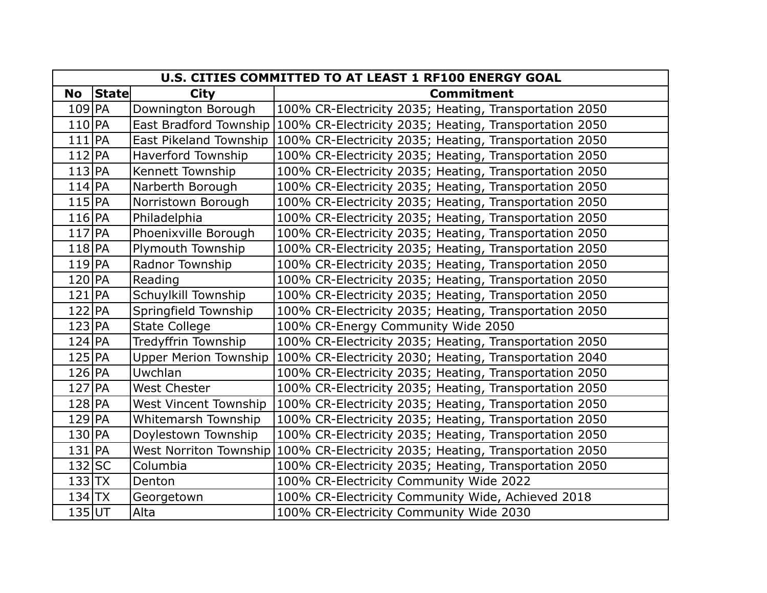|           | U.S. CITIES COMMITTED TO AT LEAST 1 RF100 ENERGY GOAL |                               |                                                                               |  |
|-----------|-------------------------------------------------------|-------------------------------|-------------------------------------------------------------------------------|--|
| <b>No</b> | $ \mathsf{State} $                                    | City                          | <b>Commitment</b>                                                             |  |
| $109$ PA  |                                                       | Downington Borough            | 100% CR-Electricity 2035; Heating, Transportation 2050                        |  |
| $110$ PA  |                                                       | <b>East Bradford Township</b> | 100% CR-Electricity 2035; Heating, Transportation 2050                        |  |
| $111$  PA |                                                       | <b>East Pikeland Township</b> | 100% CR-Electricity 2035; Heating, Transportation 2050                        |  |
| $112$ PA  |                                                       | <b>Haverford Township</b>     | 100% CR-Electricity 2035; Heating, Transportation 2050                        |  |
| $113$ PA  |                                                       | Kennett Township              | 100% CR-Electricity 2035; Heating, Transportation 2050                        |  |
| $114$ PA  |                                                       | Narberth Borough              | 100% CR-Electricity 2035; Heating, Transportation 2050                        |  |
| $115$ PA  |                                                       | Norristown Borough            | 100% CR-Electricity 2035; Heating, Transportation 2050                        |  |
| $116$ PA  |                                                       | Philadelphia                  | 100% CR-Electricity 2035; Heating, Transportation 2050                        |  |
| $117$ PA  |                                                       | Phoenixville Borough          | 100% CR-Electricity 2035; Heating, Transportation 2050                        |  |
| $118$ PA  |                                                       | Plymouth Township             | 100% CR-Electricity 2035; Heating, Transportation 2050                        |  |
| $119$ PA  |                                                       | Radnor Township               | 100% CR-Electricity 2035; Heating, Transportation 2050                        |  |
| $120$ PA  |                                                       | Reading                       | 100% CR-Electricity 2035; Heating, Transportation 2050                        |  |
| $121$ PA  |                                                       | Schuylkill Township           | 100% CR-Electricity 2035; Heating, Transportation 2050                        |  |
| $122$ PA  |                                                       | Springfield Township          | 100% CR-Electricity 2035; Heating, Transportation 2050                        |  |
| $123$ PA  |                                                       | <b>State College</b>          | 100% CR-Energy Community Wide 2050                                            |  |
| $124$ PA  |                                                       | Tredyffrin Township           | 100% CR-Electricity 2035; Heating, Transportation 2050                        |  |
| $125$ PA  |                                                       | <b>Upper Merion Township</b>  | 100% CR-Electricity 2030; Heating, Transportation 2040                        |  |
| $126$ PA  |                                                       | Uwchlan                       | 100% CR-Electricity 2035; Heating, Transportation 2050                        |  |
| $127$ PA  |                                                       | <b>West Chester</b>           | 100% CR-Electricity 2035; Heating, Transportation 2050                        |  |
| $128$ PA  |                                                       | West Vincent Township         | 100% CR-Electricity 2035; Heating, Transportation 2050                        |  |
| $129$ PA  |                                                       | Whitemarsh Township           | 100% CR-Electricity 2035; Heating, Transportation 2050                        |  |
| $130$ PA  |                                                       | Doylestown Township           | 100% CR-Electricity 2035; Heating, Transportation 2050                        |  |
| $131$ PA  |                                                       |                               | West Norriton Township 100% CR-Electricity 2035; Heating, Transportation 2050 |  |
| $132$ SC  |                                                       | Columbia                      | 100% CR-Electricity 2035; Heating, Transportation 2050                        |  |
| $133$ TX  |                                                       | Denton                        | 100% CR-Electricity Community Wide 2022                                       |  |
| $134$ TX  |                                                       | Georgetown                    | 100% CR-Electricity Community Wide, Achieved 2018                             |  |
| $135$ UT  |                                                       | Alta                          | 100% CR-Electricity Community Wide 2030                                       |  |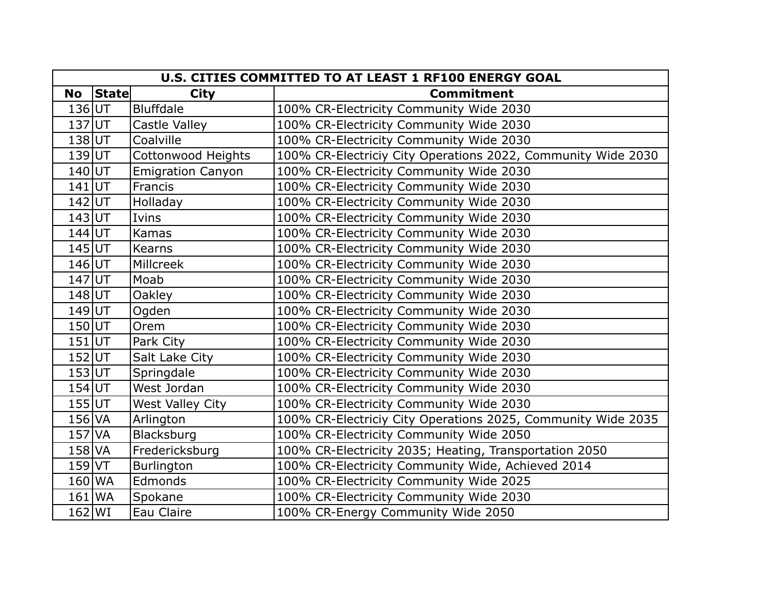|            | U.S. CITIES COMMITTED TO AT LEAST 1 RF100 ENERGY GOAL |                           |                                                              |  |
|------------|-------------------------------------------------------|---------------------------|--------------------------------------------------------------|--|
| <b>No</b>  | <b>State</b>                                          | <b>City</b>               | <b>Commitment</b>                                            |  |
| $136$ UT   |                                                       | <b>Bluffdale</b>          | 100% CR-Electricity Community Wide 2030                      |  |
| $137$ UT   |                                                       | Castle Valley             | 100% CR-Electricity Community Wide 2030                      |  |
| $138$ UT   |                                                       | Coalville                 | 100% CR-Electricity Community Wide 2030                      |  |
| $139$ UT   |                                                       | <b>Cottonwood Heights</b> | 100% CR-Electriciy City Operations 2022, Community Wide 2030 |  |
| $140$ UT   |                                                       | <b>Emigration Canyon</b>  | 100% CR-Electricity Community Wide 2030                      |  |
| $141$ UT   |                                                       | Francis                   | 100% CR-Electricity Community Wide 2030                      |  |
| $142$ UT   |                                                       | Holladay                  | 100% CR-Electricity Community Wide 2030                      |  |
| $143$ UT   |                                                       | Ivins                     | 100% CR-Electricity Community Wide 2030                      |  |
| $144$ UT   |                                                       | Kamas                     | 100% CR-Electricity Community Wide 2030                      |  |
| $145$ UT   |                                                       | Kearns                    | 100% CR-Electricity Community Wide 2030                      |  |
| $146$ UT   |                                                       | Millcreek                 | 100% CR-Electricity Community Wide 2030                      |  |
| $147$ UT   |                                                       | Moab                      | 100% CR-Electricity Community Wide 2030                      |  |
| $148$ UT   |                                                       | <b>Oakley</b>             | 100% CR-Electricity Community Wide 2030                      |  |
| $149$ UT   |                                                       | Ogden                     | 100% CR-Electricity Community Wide 2030                      |  |
| $150$ UT   |                                                       | Orem                      | 100% CR-Electricity Community Wide 2030                      |  |
| $151$ UT   |                                                       | Park City                 | 100% CR-Electricity Community Wide 2030                      |  |
| $152$ UT   |                                                       | Salt Lake City            | 100% CR-Electricity Community Wide 2030                      |  |
| $153$ UT   |                                                       | Springdale                | 100% CR-Electricity Community Wide 2030                      |  |
| $154$ UT   |                                                       | West Jordan               | 100% CR-Electricity Community Wide 2030                      |  |
| $155$ UT   |                                                       | <b>West Valley City</b>   | 100% CR-Electricity Community Wide 2030                      |  |
| $156$ VA   |                                                       | Arlington                 | 100% CR-Electriciy City Operations 2025, Community Wide 2035 |  |
| $157$ VA   |                                                       | Blacksburg                | 100% CR-Electricity Community Wide 2050                      |  |
| $158$ VA   |                                                       | Fredericksburg            | 100% CR-Electricity 2035; Heating, Transportation 2050       |  |
| $159$ $VT$ |                                                       | Burlington                | 100% CR-Electricity Community Wide, Achieved 2014            |  |
| $160$ WA   |                                                       | Edmonds                   | 100% CR-Electricity Community Wide 2025                      |  |
| $161$ WA   |                                                       | Spokane                   | 100% CR-Electricity Community Wide 2030                      |  |
| $162$ WI   |                                                       | Eau Claire                | 100% CR-Energy Community Wide 2050                           |  |